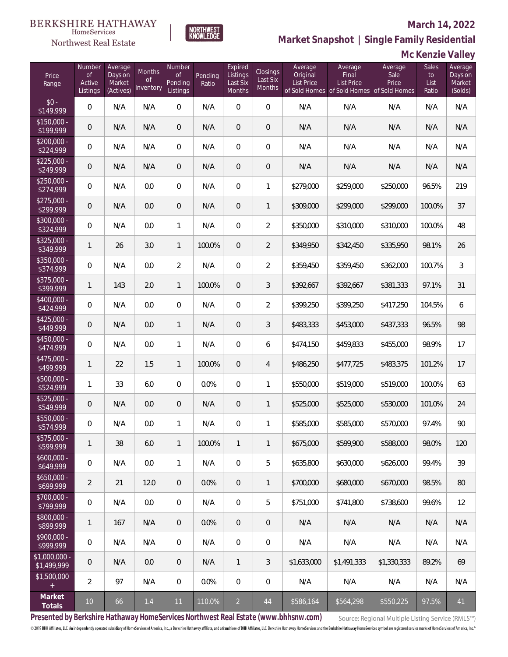# $\begin{matrix} \texttt{BERKSHIRE\ HATHAWAY}\footnotesize\texttt{Hom}\texttt{S} \texttt{e} \texttt{V} \texttt{R} \texttt{G} \texttt{P} \texttt{G} \texttt{P} \texttt{G} \texttt{P} \texttt{G} \texttt{P} \texttt{G} \texttt{P} \texttt{G} \texttt{P} \texttt{G} \texttt{P} \texttt{G} \texttt{P} \texttt{G} \texttt{P} \texttt{G} \texttt{P} \texttt{G} \texttt{P} \texttt{G} \texttt{P} \texttt{G} \texttt{P} \texttt{G} \texttt{P} \$

### Northwest Real Estate

### **March 14, 2022**

**Market Snapshot | Single Family Residential**

### **Mc Kenzie Valley**

| Price<br>Range                | Number<br><b>of</b><br>Active<br>Listings | Average<br>Days on<br>Market<br>(Actives) | Months<br><b>of</b><br>Inventory | Number<br><b>of</b><br>Pending<br>Listings | Pending<br>Ratio | Expired<br>Listings<br>Last Six<br><b>Months</b> | Closings<br>Last Six<br>Months | Average<br>Original<br><b>List Price</b> | Average<br>Final<br><b>List Price</b> | Average<br>Sale<br>Price<br>of Sold Homes of Sold Homes of Sold Homes | Sales<br>to<br>List<br>Ratio | Average<br>Days on<br>Market<br>(Solds) |
|-------------------------------|-------------------------------------------|-------------------------------------------|----------------------------------|--------------------------------------------|------------------|--------------------------------------------------|--------------------------------|------------------------------------------|---------------------------------------|-----------------------------------------------------------------------|------------------------------|-----------------------------------------|
| $$0 -$<br>\$149,999           | $\overline{0}$                            | N/A                                       | N/A                              | $\overline{0}$                             | N/A              | $\overline{0}$                                   | $\overline{0}$                 | N/A                                      | N/A                                   | N/A                                                                   | N/A                          | N/A                                     |
| $$150,000 -$<br>\$199,999     | $\overline{0}$                            | N/A                                       | N/A                              | $\overline{0}$                             | N/A              | $\overline{0}$                                   | $\mathbf 0$                    | N/A                                      | N/A                                   | N/A                                                                   | N/A                          | N/A                                     |
| $$200,000 -$<br>\$224,999     | $\mathbf 0$                               | N/A                                       | N/A                              | $\mathbf{0}$                               | N/A              | $\overline{0}$                                   | 0                              | N/A                                      | N/A                                   | N/A                                                                   | N/A                          | N/A                                     |
| $$225,000 -$<br>\$249,999     | $\overline{0}$                            | N/A                                       | N/A                              | $\overline{0}$                             | N/A              | $\overline{0}$                                   | $\overline{0}$                 | N/A                                      | N/A                                   | N/A                                                                   | N/A                          | N/A                                     |
| $$250,000 -$<br>\$274,999     | $\overline{0}$                            | N/A                                       | 0.0                              | $\mathbf{0}$                               | N/A              | $\overline{0}$                                   | $\mathbf{1}$                   | \$279,000                                | \$259,000                             | \$250,000                                                             | 96.5%                        | 219                                     |
| $$275,000 -$<br>\$299,999     | $\overline{0}$                            | N/A                                       | 0.0                              | $\overline{0}$                             | N/A              | $\overline{0}$                                   | $\mathbf{1}$                   | \$309,000                                | \$299,000                             | \$299,000                                                             | 100.0%                       | 37                                      |
| $$300,000 -$<br>\$324,999     | $\overline{0}$                            | N/A                                       | 0.0                              | $\mathbf{1}$                               | N/A              | $\overline{0}$                                   | $\overline{2}$                 | \$350,000                                | \$310,000                             | \$310,000                                                             | 100.0%                       | 48                                      |
| $$325,000 -$<br>\$349,999     | $\mathbf{1}$                              | 26                                        | 3.0                              | $\mathbf{1}$                               | 100.0%           | $\overline{0}$                                   | $\overline{2}$                 | \$349,950                                | \$342,450                             | \$335,950                                                             | 98.1%                        | 26                                      |
| $$350,000 -$<br>\$374,999     | $\overline{0}$                            | N/A                                       | 0.0                              | $\overline{2}$                             | N/A              | $\overline{0}$                                   | $\overline{2}$                 | \$359,450                                | \$359,450                             | \$362,000                                                             | 100.7%                       | 3                                       |
| $$375,000 -$<br>\$399,999     | $\mathbf{1}$                              | 143                                       | 2.0                              | $\mathbf{1}$                               | 100.0%           | $\overline{0}$                                   | 3                              | \$392,667                                | \$392,667                             | \$381,333                                                             | 97.1%                        | 31                                      |
| $$400,000 -$<br>\$424,999     | $\mathbf 0$                               | N/A                                       | 0.0                              | $\mathbf{0}$                               | N/A              | $\overline{0}$                                   | $\overline{2}$                 | \$399,250                                | \$399,250                             | \$417,250                                                             | 104.5%                       | 6                                       |
| $$425,000 -$<br>\$449,999     | $\overline{0}$                            | N/A                                       | 0.0                              | $\mathbf{1}$                               | N/A              | $\overline{0}$                                   | 3                              | \$483,333                                | \$453,000                             | \$437,333                                                             | 96.5%                        | 98                                      |
| $$450,000 -$<br>\$474,999     | $\overline{0}$                            | N/A                                       | 0.0                              | $\mathbf{1}$                               | N/A              | $\overline{0}$                                   | 6                              | \$474,150                                | \$459,833                             | \$455,000                                                             | 98.9%                        | 17                                      |
| $$475,000 -$<br>\$499,999     | $\mathbf{1}$                              | 22                                        | 1.5                              | $\overline{1}$                             | 100.0%           | $\overline{0}$                                   | 4                              | \$486,250                                | \$477,725                             | \$483,375                                                             | 101.2%                       | 17                                      |
| $$500,000 -$<br>\$524,999     | $\mathbf{1}$                              | 33                                        | 6.0                              | $\Omega$                                   | 0.0%             | $\Omega$                                         | $\mathbf{1}$                   | \$550,000                                | \$519,000                             | \$519,000                                                             | 100.0%                       | 63                                      |
| $$525,000 -$<br>\$549,999     | $\overline{0}$                            | N/A                                       | 0.0                              | $\mathbf{0}$                               | N/A              | $\sqrt{a}$                                       | $\mathbf{1}$                   | \$525,000                                | \$525,000                             | \$530,000                                                             | 101.0%                       | 24                                      |
| $$550,000 -$<br>\$574,999     | $\overline{0}$                            | N/A                                       | 0.0                              | $\mathbf{1}$                               | N/A              | $\overline{0}$                                   | $\mathbf{1}$                   | \$585,000                                | \$585,000                             | \$570,000                                                             | 97.4%                        | 90                                      |
| \$575,000 -<br>\$599,999      | $\mathbf{1}$                              | 38                                        | $6.0\,$                          | $\mathbf{1}$                               | 100.0%           | $\mathbf{1}$                                     | $\mathbf{1}$                   | \$675,000                                | \$599,900                             | \$588,000                                                             | 98.0%                        | 120                                     |
| $$600,000 -$<br>\$649,999     | $\mathbf 0$                               | N/A                                       | 0.0                              | $\mathbf{1}$                               | N/A              | 0                                                | 5                              | \$635,800                                | \$630,000                             | \$626,000                                                             | 99.4%                        | 39                                      |
| $$650,000 -$<br>\$699,999     | $\overline{2}$                            | 21                                        | 12.0                             | $\mathbf{0}$                               | 0.0%             | $\overline{0}$                                   | $\mathbf{1}$                   | \$700,000                                | \$680,000                             | \$670,000                                                             | 98.5%                        | 80                                      |
| \$700,000 -<br>\$799,999      | 0                                         | N/A                                       | 0.0                              | $\mathbf{0}$                               | N/A              | $\mathbf 0$                                      | 5                              | \$751,000                                | \$741,800                             | \$738,600                                                             | 99.6%                        | 12                                      |
| \$800,000 -<br>\$899,999      | $\mathbf{1}$                              | 167                                       | N/A                              | $\mathbf{0}$                               | 0.0%             | $\sqrt{0}$                                       | 0                              | N/A                                      | N/A                                   | N/A                                                                   | N/A                          | N/A                                     |
| \$900,000 -<br>\$999,999      | 0                                         | N/A                                       | N/A                              | $\mathbf 0$                                | N/A              | $\mathbf 0$                                      | 0                              | N/A                                      | N/A                                   | N/A                                                                   | N/A                          | N/A                                     |
| $$1,000,000$ -<br>\$1,499,999 | 0                                         | N/A                                       | $0.0\,$                          | $\mathbf{0}$                               | N/A              | $\mathbf{1}$                                     | 3                              | \$1,633,000                              | \$1,491,333                           | \$1,330,333                                                           | 89.2%                        | 69                                      |
| \$1,500,000<br>$+$            | $\overline{2}$                            | 97                                        | N/A                              | $\mathbf{0}$                               | 0.0%             | $\mathbf 0$                                      | 0                              | N/A                                      | N/A                                   | N/A                                                                   | N/A                          | N/A                                     |
| Market<br>Totals              | 10                                        | 66                                        | $1.4$                            | 11                                         | 110.0%           | $\overline{2}$                                   | 44                             | \$586,164                                | \$564,298                             | \$550,225                                                             | 97.5%                        | 41                                      |

NORTHWEST<br>KNOWLFDGF

**Presented by Berkshire Hathaway HomeServices Northwest Real Estate (www.bhhsnw.com)**

Source: Regional Multiple Listing Service (RMLS™)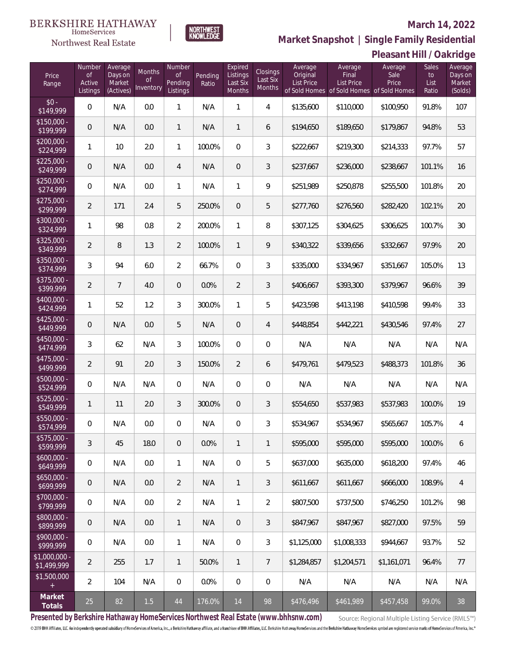# $\begin{array}{llll} \texttt{BERKSHIRE} \texttt{ HATHAWAY} \\ \texttt{\tiny HomeServices} \end{array}$

### Northwest Real Estate

### **March 14, 2022**



**Pleasant Hill / Oakridge Market Snapshot | Single Family Residential**

| Price<br>Range               | Number<br>$\circ$ f<br>Active<br>Listings | Average<br>Days on<br>Market<br>(Actives) | Months<br><b>of</b><br>Inventory | Number<br><b>of</b><br>Pending<br>Listings | Pending<br>Ratio | Expired<br>Listings<br>Last Six<br>Months | <b>Closings</b><br>Last Six<br>Months | Average<br>Original<br>List Price | Average<br>Final<br>List Price<br>of Sold Homes of Sold Homes of Sold Homes | Average<br>Sale<br>Price | <b>Sales</b><br>to<br>List<br>Ratio | Average<br>Days on<br>Market<br>(Solds) |
|------------------------------|-------------------------------------------|-------------------------------------------|----------------------------------|--------------------------------------------|------------------|-------------------------------------------|---------------------------------------|-----------------------------------|-----------------------------------------------------------------------------|--------------------------|-------------------------------------|-----------------------------------------|
| $$0 -$<br>\$149,999          | $\mathbf 0$                               | N/A                                       | 0.0                              | 1                                          | N/A              | $\mathbf{1}$                              | $\overline{4}$                        | \$135,600                         | \$110,000                                                                   | \$100,950                | 91.8%                               | 107                                     |
| $$150,000 -$<br>\$199,999    | $\mathbf 0$                               | N/A                                       | 0.0                              | $\mathbf{1}$                               | N/A              | $\mathbf{1}$                              | 6                                     | \$194,650                         | \$189,650                                                                   | \$179,867                | 94.8%                               | 53                                      |
| $$200,000 -$<br>\$224,999    | $\mathbf{1}$                              | 10                                        | 2.0                              | 1                                          | 100.0%           | $\overline{0}$                            | 3                                     | \$222,667                         | \$219,300                                                                   | \$214,333                | 97.7%                               | 57                                      |
| $$225,000 -$<br>\$249,999    | $\mathbf 0$                               | N/A                                       | 0.0                              | $\overline{4}$                             | N/A              | $\overline{0}$                            | 3                                     | \$237,667                         | \$236,000                                                                   | \$238,667                | 101.1%                              | 16                                      |
| $$250,000 -$<br>\$274,999    | $\mathbf{0}$                              | N/A                                       | 0.0                              | 1                                          | N/A              | $\mathbf{1}$                              | 9                                     | \$251,989                         | \$250,878                                                                   | \$255,500                | 101.8%                              | 20                                      |
| $$275,000 -$<br>\$299,999    | $\overline{2}$                            | 171                                       | 2.4                              | 5                                          | 250.0%           | $\mathbf 0$                               | 5                                     | \$277,760                         | \$276,560                                                                   | \$282,420                | 102.1%                              | 20                                      |
| \$300,000 -<br>\$324,999     | $\mathbf{1}$                              | 98                                        | 0.8                              | $\overline{2}$                             | 200.0%           | $\mathbf{1}$                              | 8                                     | \$307,125                         | \$304,625                                                                   | \$306,625                | 100.7%                              | 30                                      |
| $$325,000 -$<br>\$349,999    | $\overline{2}$                            | 8                                         | 1.3                              | $\overline{2}$                             | 100.0%           | $\mathbf{1}$                              | 9                                     | \$340,322                         | \$339,656                                                                   | \$332,667                | 97.9%                               | 20                                      |
| $$350,000 -$<br>\$374,999    | $\mathfrak{Z}$                            | 94                                        | 6.0                              | $\overline{2}$                             | 66.7%            | $\Omega$                                  | 3                                     | \$335,000                         | \$334,967                                                                   | \$351,667                | 105.0%                              | 13                                      |
| $$375,000 -$<br>\$399,999    | $\overline{2}$                            | $7\overline{ }$                           | 4.0                              | $\overline{0}$                             | 0.0%             | $\overline{2}$                            | 3                                     | \$406,667                         | \$393,300                                                                   | \$379,967                | 96.6%                               | 39                                      |
| \$400,000 -<br>\$424,999     | $\mathbf{1}$                              | 52                                        | 1.2                              | 3                                          | 300.0%           | $\mathbf{1}$                              | 5                                     | \$423,598                         | \$413,198                                                                   | \$410,598                | 99.4%                               | 33                                      |
| $$425,000 -$<br>\$449,999    | $\mathbf{0}$                              | N/A                                       | 0.0                              | 5                                          | N/A              | $\overline{0}$                            | $\overline{4}$                        | \$448,854                         | \$442,221                                                                   | \$430,546                | 97.4%                               | 27                                      |
| \$450,000 -<br>\$474,999     | 3                                         | 62                                        | N/A                              | 3                                          | 100.0%           | $\overline{0}$                            | $\overline{0}$                        | N/A                               | N/A                                                                         | N/A                      | N/A                                 | N/A                                     |
| $$475,000 -$<br>\$499,999    | $\overline{2}$                            | 91                                        | 2.0                              | 3                                          | 150.0%           | $\overline{2}$                            | 6                                     | \$479,761                         | \$479,523                                                                   | \$488,373                | 101.8%                              | 36                                      |
| \$500,000 -<br>\$524,999     | $\overline{0}$                            | N/A                                       | N/A                              | $\mathbf{0}$                               | N/A              | $\overline{0}$                            | $\overline{0}$                        | N/A                               | N/A                                                                         | N/A                      | N/A                                 | N/A                                     |
| $$525,000 -$<br>\$549,999    | $\mathbf{1}$                              | 11                                        | 2.0                              | 3                                          | 300.0%           | $\mathbf{0}$                              | 3                                     | \$554,650                         | \$537,983                                                                   | \$537,983                | 100.0%                              | 19                                      |
| $$550,000 -$<br>\$574,999    | $\overline{0}$                            | N/A                                       | 0.0                              | $\mathbf{0}$                               | N/A              | $\mathbf{0}$                              | 3                                     | \$534,967                         | \$534,967                                                                   | \$565,667                | 105.7%                              | $\overline{4}$                          |
| \$575,000 -<br>\$599,999     | 3                                         | 45                                        | 18.0                             | $\theta$                                   | 0.0%             | $\mathbf{1}$                              | $\mathbf{1}$                          | \$595,000                         | \$595,000                                                                   | \$595,000                | 100.0%                              | 6                                       |
| $$600,000 -$<br>\$649,999    | $\mathbf 0$                               | N/A                                       | 0.0                              | 1                                          | N/A              | $\mathbf 0$                               | 5                                     | \$637,000                         | \$635,000                                                                   | \$618,200                | 97.4%                               | 46                                      |
| $$650,000 -$<br>\$699,999    | $\mathbf{0}$                              | N/A                                       | 0.0                              | $\overline{2}$                             | N/A              | 1                                         | 3                                     | \$611,667                         | \$611,667                                                                   | \$666,000                | 108.9%                              | $\overline{4}$                          |
| \$700,000 -<br>\$799,999     | $\mathbf{0}$                              | N/A                                       | 0.0                              | $\overline{2}$                             | N/A              | 1                                         | 2                                     | \$807,500                         | \$737,500                                                                   | \$746,250                | 101.2%                              | 98                                      |
| \$800,000 -<br>\$899,999     | $\mathbf{0}$                              | N/A                                       | 0.0                              | $\mathbf{1}$                               | N/A              | $\mathbf 0$                               | 3                                     | \$847,967                         | \$847,967                                                                   | \$827,000                | 97.5%                               | 59                                      |
| \$900,000 -<br>\$999,999     | $\mathbf 0$                               | N/A                                       | 0.0                              | 1                                          | N/A              | $\mathbf 0$                               | 3                                     | \$1,125,000                       | \$1,008,333                                                                 | \$944,667                | 93.7%                               | 52                                      |
| \$1,000,000 -<br>\$1,499,999 | $\overline{2}$                            | 255                                       | 1.7                              | $\mathbf{1}$                               | 50.0%            | 1                                         | $\overline{7}$                        | \$1,284,857                       | \$1,204,571                                                                 | \$1,161,071              | 96.4%                               | 77                                      |
| \$1,500,000<br>$^{+}$        | $\overline{2}$                            | 104                                       | N/A                              | $\mathbf 0$                                | 0.0%             | $\mathbb O$                               | $\mathbf 0$                           | N/A                               | N/A                                                                         | N/A                      | N/A                                 | N/A                                     |
| Market<br>Totals             | 25                                        | 82                                        | $1.5$                            | 44                                         | 176.0%           | 14                                        | 98                                    | \$476,496                         | \$461,989                                                                   | \$457,458                | 99.0%                               | 38                                      |

**Presented by Berkshire Hathaway HomeServices Northwest Real Estate (www.bhhsnw.com)**

Source: Regional Multiple Listing Service (RMLS™)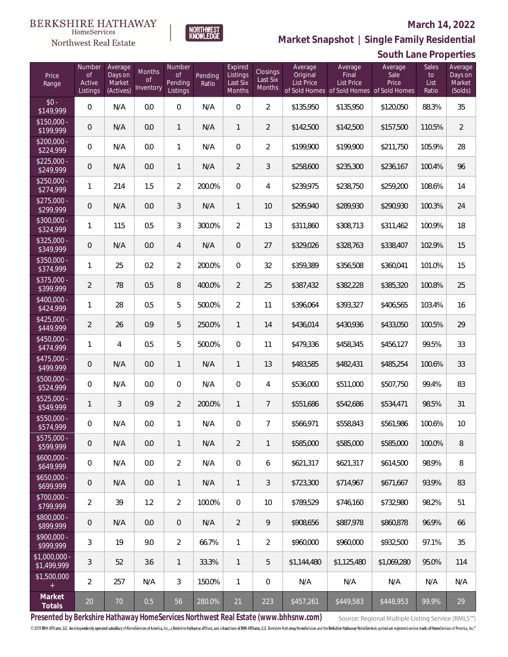# $\begin{matrix} \texttt{BERKSHIRE\ HATHAWAY}\footnotesize\texttt{Hom}\texttt{S} \texttt{e} \texttt{V} \texttt{R} \texttt{G} \texttt{P} \texttt{G} \texttt{P} \texttt{G} \texttt{P} \texttt{G} \texttt{P} \texttt{G} \texttt{P} \texttt{G} \texttt{P} \texttt{G} \texttt{P} \texttt{G} \texttt{P} \texttt{G} \texttt{P} \texttt{G} \texttt{P} \texttt{G} \texttt{P} \texttt{G} \texttt{P} \texttt{G} \texttt{P} \texttt{G} \texttt{P} \$

### Northwest Real Estate

#### **March 14, 2022**



|                               |                                           |                                           |                                  |                                     |                  |                                           |                                       |                                          |                                                                                    | OUGHT LUTTU FT UPUL LIUJ |                              |                                         |
|-------------------------------|-------------------------------------------|-------------------------------------------|----------------------------------|-------------------------------------|------------------|-------------------------------------------|---------------------------------------|------------------------------------------|------------------------------------------------------------------------------------|--------------------------|------------------------------|-----------------------------------------|
| Price<br>Range                | Number<br><b>of</b><br>Active<br>Listings | Average<br>Days on<br>Market<br>(Actives) | Months<br><b>of</b><br>Inventory | Number<br>of<br>Pending<br>Listings | Pending<br>Ratio | Expired<br>Listings<br>Last Six<br>Months | Closings<br>Last Six<br><b>Months</b> | Average<br>Original<br><b>List Price</b> | Average<br>Final<br><b>List Price</b><br>of Sold Homes of Sold Homes of Sold Homes | Average<br>Sale<br>Price | Sales<br>to<br>List<br>Ratio | Average<br>Days on<br>Market<br>(Solds) |
| $$0 -$<br>$\sqrt{$149,999}$   | 0                                         | N/A                                       | 0.0                              | 0                                   | N/A              | $\mathbf 0$                               | $\overline{2}$                        | \$135,950                                | \$135,950                                                                          | \$120,050                | 88.3%                        | 35                                      |
| $$150,000 -$<br>3199,999      | $\mathsf{O}\xspace$                       | N/A                                       | 0.0                              | 1                                   | N/A              | $\mathbf{1}$                              | $\overline{a}$                        | \$142,500                                | \$142,500                                                                          | \$157,500                | 110.5%                       | $\overline{2}$                          |
| $$200,000 -$<br>\$224,999     | 0                                         | N/A                                       | 0.0                              | 1                                   | N/A              | 0                                         | $\overline{2}$                        | \$199,900                                | \$199,900                                                                          | \$211,750                | 105.9%                       | 28                                      |
| $$225,000 -$<br>\$249,999     | $\mathbf 0$                               | N/A                                       | 0.0                              | 1                                   | N/A              | $\overline{2}$                            | $\mathfrak{Z}$                        | \$258,600                                | \$235,300                                                                          | \$236,167                | 100.4%                       | 96                                      |
| $$250,000 -$<br>\$274,999     | $\mathbf{1}$                              | 214                                       | 1.5                              | $\overline{2}$                      | 200.0%           | 0                                         | 4                                     | \$239,975                                | \$238,750                                                                          | \$259,200                | 108.6%                       | 14                                      |
| $$275,000 -$<br>\$299,999     | 0                                         | N/A                                       | 0.0                              | 3                                   | N/A              | $\mathbf{1}$                              | 10                                    | \$295,940                                | \$289,930                                                                          | \$290,930                | 100.3%                       | 24                                      |
| $$300,000 -$<br>\$324,999     | $\mathbf{1}$                              | 115                                       | 0.5                              | 3                                   | 300.0%           | $\overline{2}$                            | 13                                    | \$311,860                                | \$308,713                                                                          | \$311,462                | 100.9%                       | 18                                      |
| $$325,000 -$<br>\$349,999     | $\mathbf 0$                               | N/A                                       | 0.0                              | 4                                   | N/A              | $\mathbf 0$                               | 27                                    | \$329,026                                | \$328,763                                                                          | \$338,407                | 102.9%                       | 15                                      |
| \$350,000 -<br>\$374,999      | 1                                         | 25                                        | 0.2                              | $\overline{2}$                      | 200.0%           | 0                                         | 32                                    | \$359,389                                | \$356,508                                                                          | \$360,041                | 101.0%                       | 15                                      |
| $$375,000 -$<br>\$399,999     | $\overline{2}$                            | 78                                        | 0.5                              | 8                                   | 400.0%           | $\overline{2}$                            | 25                                    | \$387,432                                | \$382,228                                                                          | \$385,320                | 100.8%                       | 25                                      |
| $$400,000 -$<br>\$424,999     | 1                                         | 28                                        | 0.5                              | 5                                   | 500.0%           | $\overline{2}$                            | 11                                    | \$396,064                                | \$393,327                                                                          | \$406,565                | 103.4%                       | 16                                      |
| $$425,000 -$<br>\$449,999     | $\overline{2}$                            | 26                                        | 0.9                              | 5                                   | 250.0%           | $\mathbf{1}$                              | 14                                    | \$436,014                                | \$430,936                                                                          | \$433,050                | 100.5%                       | 29                                      |
| $$450,000 -$<br>\$474,999     | 1                                         | 4                                         | 0.5                              | 5                                   | 500.0%           | $\overline{0}$                            | 11                                    | \$479,336                                | \$458,345                                                                          | \$456,127                | 99.5%                        | 33                                      |
| $$475,000 -$<br>\$499,999     | $\mathbf 0$                               | N/A                                       | 0.0                              | $\mathbf{1}$                        | N/A              | $\mathbf{1}$                              | 13                                    | \$483,585                                | \$482,431                                                                          | \$485,254                | 100.6%                       | 33                                      |
| $500,000 -$<br>\$524,999      | 0                                         | N/A                                       | 0.0                              | 0                                   | N/A              | $\boldsymbol{0}$                          | 4                                     | \$536,000                                | \$511,000                                                                          | \$507,750                | 99.4%                        | 83                                      |
| $$525,000 -$<br>\$549,999     | 1                                         | 3                                         | 0.9                              | $\overline{2}$                      | 200.0%           | $\mathbf{1}$                              | $\overline{7}$                        | \$551,686                                | \$542,686                                                                          | \$534,471                | 98.5%                        | 31                                      |
| \$550,000 -<br>\$574,999      | $\mathbf 0$                               | N/A                                       | 0.0                              | 1                                   | N/A              | 0                                         | $\overline{7}$                        | \$566,971                                | \$558,843                                                                          | \$561,986                | 100.6%                       | 10                                      |
| $$575,000 -$<br>\$599,999     | $\mathbf 0$                               | N/A                                       | 0.0                              | $\mathbf{1}$                        | N/A              | $\overline{2}$                            | $\mathbf{1}$                          | \$585,000                                | \$585,000                                                                          | \$585,000                | 100.0%                       | 8                                       |
| $$600,000 -$<br>\$649,999     | 0                                         | N/A                                       | 0.0                              | $\overline{2}$                      | N/A              | $\mathbf 0$                               | 6                                     | \$621,317                                | \$621,317                                                                          | \$614,500                | 98.9%                        | 8                                       |
| $$650,000 -$<br>\$699,999     | $\mathsf{O}\xspace$                       | N/A                                       | 0.0                              | $\mathbf{1}$                        | N/A              | $\mathbf{1}$                              | 3                                     | \$723,300                                | \$714.967                                                                          | \$671,667                | 93.9%                        | 83                                      |
| \$700,000 -<br>\$799,999      | $\overline{2}$                            | 39                                        | 1.2                              | $\overline{2}$                      | 100.0%           | $\overline{0}$                            | 10                                    | \$789,529                                | \$746,160                                                                          | \$732,980                | 98.2%                        | 51                                      |
| \$800,000 -<br>\$899,999      | $\mathsf{O}\xspace$                       | N/A                                       | 0.0                              | $\overline{0}$                      | N/A              | $\overline{2}$                            | 9                                     | \$908,656                                | \$887,978                                                                          | \$860,878                | 96.9%                        | 66                                      |
| $$900.000 -$<br>\$999,999     | 3                                         | 19                                        | 9.0                              | $\overline{2}$                      | 66.7%            | $\mathbf{1}$                              | $\overline{2}$                        | \$960,000                                | \$960,000                                                                          | \$932,500                | 97.1%                        | 35                                      |
| $$1,000,000 -$<br>\$1,499,999 | 3                                         | 52                                        | 3.6                              | $\mathbf{1}$                        | 33.3%            | $\mathbf{1}$                              | 5                                     | \$1,144,480                              | \$1,125,480                                                                        | \$1,069,280              | 95.0%                        | 114                                     |
| \$1,500,000<br>$^{+}$         | $\overline{2}$                            | 257                                       | N/A                              | 3                                   | 150.0%           | $\mathbf{1}$                              | 0                                     | N/A                                      | N/A                                                                                | N/A                      | N/A                          | N/A                                     |
| Market<br>Totals              | $20\,$                                    | 70                                        | 0.5                              | 56                                  | 280.0%           | 21                                        | 223                                   | \$457,261                                | \$449,583                                                                          | \$448,953                | 99.9%                        | 29                                      |

NORTHWEST<br>KNOWLFDGF

**Presented by Berkshire Hathaway HomeServices Northwest Real Estate (www.bhhsnw.com)**

Source: Regional Multiple Listing Service (RMLS™)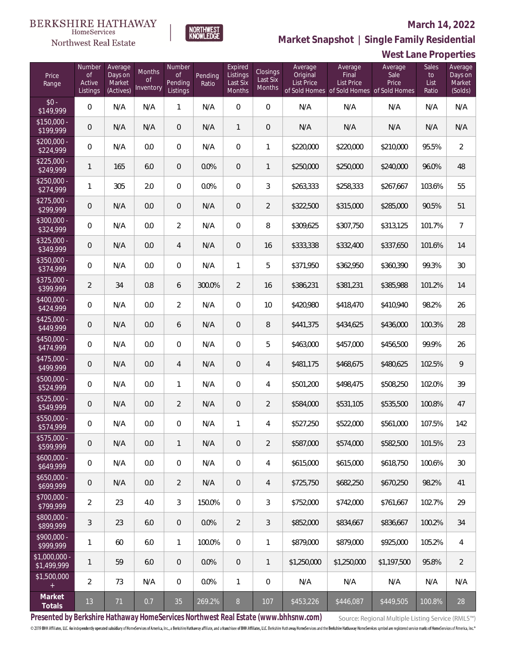#### **March 14, 2022**

**West Lane Properties**



**Market Snapshot | Single Family Residential**

#### BERKSHIRE HATHAWAY HomeServices Northwest Real Estate

| Price<br>Range                | Number<br><b>of</b><br>Active<br>Listings | Average<br>Days on<br>Market<br>(Actives) | <b>Months</b><br>Οf<br>Inventory | Number<br>0f<br>Pending<br>Listings | Pending<br>Ratio | Expired<br>Listings<br>Last Six<br>Months | Closings<br>Last Six<br><b>Months</b> | Average<br>Original<br><b>List Price</b> | Average<br>Final<br><b>List Price</b> | Average<br>Sale<br>Price<br>of Sold Homes of Sold Homes of Sold Homes | Sales<br>to<br>List<br>Ratio | Average<br>Days on<br>Market<br>(Solds) |
|-------------------------------|-------------------------------------------|-------------------------------------------|----------------------------------|-------------------------------------|------------------|-------------------------------------------|---------------------------------------|------------------------------------------|---------------------------------------|-----------------------------------------------------------------------|------------------------------|-----------------------------------------|
| $$0 -$<br>\$149,999           | $\mathbf 0$                               | N/A                                       | N/A                              | $\mathbf{1}$                        | N/A              | 0                                         | $\mathsf{O}\xspace$                   | N/A                                      | N/A                                   | N/A                                                                   | N/A                          | N/A                                     |
| $$150,000 -$<br>\$199,999     | $\overline{0}$                            | N/A                                       | N/A                              | $\mathbf 0$                         | N/A              | $\mathbf{1}$                              | $\mathsf{O}\xspace$                   | N/A                                      | N/A                                   | N/A                                                                   | N/A                          | N/A                                     |
| $$200,000 -$<br>\$224,999     | $\mathbf 0$                               | N/A                                       | 0.0                              | $\overline{0}$                      | N/A              | 0                                         | 1                                     | \$220,000                                | \$220,000                             | \$210,000                                                             | 95.5%                        | $\overline{2}$                          |
| $$225,000 -$<br>\$249,999     | 1                                         | 165                                       | $6.0\,$                          | $\mathbf 0$                         | 0.0%             | 0                                         | 1                                     | \$250,000                                | \$250,000                             | \$240,000                                                             | 96.0%                        | 48                                      |
| $$250,000 -$<br>\$274,999     | 1                                         | 305                                       | 2.0                              | $\overline{0}$                      | 0.0%             | 0                                         | 3                                     | \$263,333                                | \$258,333                             | \$267,667                                                             | 103.6%                       | 55                                      |
| $$275,000 -$<br>\$299,999     | $\overline{0}$                            | N/A                                       | 0.0                              | $\mathbf 0$                         | N/A              | 0                                         | $\overline{2}$                        | \$322,500                                | \$315,000                             | \$285,000                                                             | 90.5%                        | 51                                      |
| \$300,000 -<br>\$324,999      | $\overline{0}$                            | N/A                                       | $0.0\,$                          | $\overline{2}$                      | N/A              | 0                                         | 8                                     | \$309,625                                | \$307,750                             | \$313,125                                                             | 101.7%                       | $\overline{7}$                          |
| \$325,000 -<br>\$349,999      | $\overline{0}$                            | N/A                                       | $0.0\,$                          | $\overline{4}$                      | N/A              | 0                                         | 16                                    | \$333,338                                | \$332,400                             | \$337,650                                                             | 101.6%                       | 14                                      |
| \$350,000 -<br>\$374,999      | $\overline{0}$                            | N/A                                       | 0.0                              | $\mathbf 0$                         | N/A              | 1                                         | 5                                     | \$371,950                                | \$362,950                             | \$360,390                                                             | 99.3%                        | 30 <sup>°</sup>                         |
| $$375,000 -$<br>\$399,999     | $\overline{2}$                            | 34                                        | 0.8                              | 6                                   | 300.0%           | $\overline{2}$                            | 16                                    | \$386,231                                | \$381,231                             | \$385,988                                                             | 101.2%                       | 14                                      |
| \$400,000 -<br>\$424,999      | $\mathbf 0$                               | N/A                                       | 0.0                              | $\overline{2}$                      | N/A              | 0                                         | 10                                    | \$420,980                                | \$418,470                             | \$410,940                                                             | 98.2%                        | 26                                      |
| $$425,000 -$<br>\$449,999     | $\overline{0}$                            | N/A                                       | 0.0                              | 6                                   | N/A              | 0                                         | 8                                     | \$441,375                                | \$434,625                             | \$436,000                                                             | 100.3%                       | 28                                      |
| \$450,000 -<br>\$474,999      | $\overline{0}$                            | N/A                                       | 0.0                              | $\mathbf 0$                         | N/A              | 0                                         | 5                                     | \$463,000                                | \$457,000                             | \$456,500                                                             | 99.9%                        | 26                                      |
| \$475,000 -<br>\$499,999      | $\overline{0}$                            | N/A                                       | 0.0                              | $\overline{4}$                      | N/A              | 0                                         | $\overline{4}$                        | \$481,175                                | \$468,675                             | \$480,625                                                             | 102.5%                       | 9                                       |
| \$500,000 -<br>\$524,999      | $\overline{0}$                            | N/A                                       | 0.0                              | 1                                   | N/A              | 0                                         | 4                                     | \$501,200                                | \$498,475                             | \$508,250                                                             | 102.0%                       | 39                                      |
| \$525,000 -<br>\$549,999      | $\overline{0}$                            | N/A                                       | 0.0                              | $\overline{2}$                      | N/A              | 0                                         | $\overline{2}$                        | \$584,000                                | \$531,105                             | \$535,500                                                             | 100.8%                       | 47                                      |
| \$550,000 -<br>\$574,999      | $\mathbf 0$                               | N/A                                       | $0.0\,$                          | $\mathbf 0$                         | N/A              | 1                                         | 4                                     | \$527,250                                | \$522,000                             | \$561,000                                                             | 107.5%                       | 142                                     |
| \$575,000 -<br>\$599,999      | $\mathbf 0$                               | N/A                                       | 0.0                              | $\mathbf{1}$                        | N/A              | 0                                         | $\overline{2}$                        | \$587,000                                | \$574,000                             | \$582,500                                                             | 101.5%                       | 23                                      |
| $$600,000 -$<br>\$649,999     | $\overline{0}$                            | N/A                                       | 0.0                              | 0                                   | N/A              | 0                                         | 4                                     | \$615,000                                | \$615,000                             | \$618,750                                                             | 100.6%                       | 30 <sup>°</sup>                         |
| $$650,000 -$<br>\$699,999     | $\theta$                                  | N/A                                       | 0.0                              | $\overline{2}$                      | N/A              | 0                                         | 4                                     | \$725,750                                | \$682,250                             | \$670,250                                                             | 98.2%                        | 41                                      |
| \$700,000 -<br>\$799,999      | $\overline{2}$                            | 23                                        | 4.0                              | $\mathfrak{Z}$                      | 150.0%           | 0                                         | 3                                     | \$752,000                                | \$742,000                             | \$761,667                                                             | 102.7%                       | 29                                      |
| \$800,000 -<br>\$899,999      | 3                                         | 23                                        | 6.0                              | $\mathbf 0$                         | 0.0%             | 2                                         | 3                                     | \$852,000                                | \$834,667                             | \$836,667                                                             | 100.2%                       | 34                                      |
| \$900,000 -<br>\$999,999      | 1                                         | 60                                        | 6.0                              | 1                                   | 100.0%           | 0                                         | 1                                     | \$879,000                                | \$879,000                             | \$925,000                                                             | 105.2%                       | $\overline{4}$                          |
| $$1,000,000 -$<br>\$1,499,999 | $\mathbf{1}$                              | 59                                        | 6.0                              | $\mathbf 0$                         | 0.0%             | 0                                         | $\mathbf{1}$                          | \$1,250,000                              | \$1,250,000                           | \$1,197,500                                                           | 95.8%                        | $\overline{2}$                          |
| \$1,500,000<br>$+$            | $\overline{2}$                            | 73                                        | N/A                              | $\mathbf 0$                         | $0.0\%$          | 1                                         | $\overline{0}$                        | N/A                                      | N/A                                   | N/A                                                                   | N/A                          | N/A                                     |
| Market<br>Totals              | 13                                        | 71                                        | 0.7                              | 35                                  | 269.2%           | $8\,$                                     | 107                                   | \$453,226                                | \$446,087                             | \$449,505                                                             | 100.8%                       | 28                                      |

**Presented by Berkshire Hathaway HomeServices Northwest Real Estate (www.bhhsnw.com)**

Source: Regional Multiple Listing Service (RMLS™)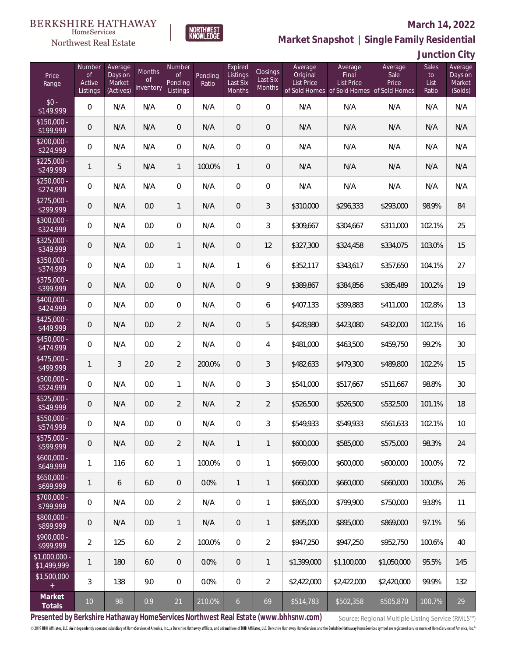# $\begin{array}{llll} \texttt{BERKSHIRE} \texttt{ HATHAWAY} \\ \texttt{\tiny HomeServices} \end{array}$

### Northwest Real Estate

#### **March 14, 2022**



|  | Junction City |  |
|--|---------------|--|
|  |               |  |

| Price<br>Range                | Number<br><b>of</b><br>Active<br>Listings | Average<br>Days on<br>Market<br>(Actives) | Months<br>of<br>Inventory | Number<br><b>of</b><br>Pending<br>Listings | Pending<br>Ratio | Expired<br>Listings<br>Last Six<br><b>Months</b> | Closings<br>Last Six<br>Months | Average<br>Original<br><b>List Price</b> | Average<br>Final<br><b>List Price</b><br>of Sold Homes of Sold Homes of Sold Homes | Average<br>Sale<br>Price | <b>Sales</b><br>to<br>List<br>Ratio | Average<br>Days on<br>Market<br>(Solds) |
|-------------------------------|-------------------------------------------|-------------------------------------------|---------------------------|--------------------------------------------|------------------|--------------------------------------------------|--------------------------------|------------------------------------------|------------------------------------------------------------------------------------|--------------------------|-------------------------------------|-----------------------------------------|
| $$0 -$<br>$\sqrt{$149,999}$   | $\overline{0}$                            | N/A                                       | N/A                       | $\overline{0}$                             | N/A              | $\overline{0}$                                   | $\overline{0}$                 | N/A                                      | N/A                                                                                | N/A                      | N/A                                 | N/A                                     |
| $$150,000 -$<br>\$199,999     | 0                                         | N/A                                       | N/A                       | $\overline{0}$                             | N/A              | $\overline{0}$                                   | $\mathbf 0$                    | N/A                                      | N/A                                                                                | N/A                      | N/A                                 | N/A                                     |
| $$200,000 -$<br>\$224,999     | 0                                         | N/A                                       | N/A                       | $\overline{0}$                             | N/A              | $\overline{0}$                                   | 0                              | N/A                                      | N/A                                                                                | N/A                      | N/A                                 | N/A                                     |
| $$225.000 -$<br>\$249,999     | 1                                         | 5                                         | N/A                       | $\mathbf{1}$                               | 100.0%           | $\mathbf{1}$                                     | $\mathbf 0$                    | N/A                                      | N/A                                                                                | N/A                      | N/A                                 | N/A                                     |
| $$250,000 -$<br>\$274,999     | 0                                         | N/A                                       | N/A                       | $\overline{0}$                             | N/A              | $\overline{0}$                                   | 0                              | N/A                                      | N/A                                                                                | N/A                      | N/A                                 | N/A                                     |
| $$275,000 -$<br>\$299,999     | 0                                         | N/A                                       | 0.0                       | $\mathbf{1}$                               | N/A              | $\overline{0}$                                   | 3                              | \$310,000                                | \$296,333                                                                          | \$293,000                | 98.9%                               | 84                                      |
| \$300,000 -<br>\$324,999      | 0                                         | N/A                                       | 0.0                       | $\overline{0}$                             | N/A              | $\overline{0}$                                   | 3                              | \$309,667                                | \$304,667                                                                          | \$311,000                | 102.1%                              | 25                                      |
| \$325,000 -<br>\$349,999      | 0                                         | N/A                                       | 0.0                       | $\mathbf{1}$                               | N/A              | $\overline{0}$                                   | 12                             | \$327,300                                | \$324,458                                                                          | \$334,075                | 103.0%                              | 15                                      |
| \$350,000 -<br>\$374,999      | 0                                         | N/A                                       | 0.0                       | $\mathbf{1}$                               | N/A              | $\mathbf{1}$                                     | 6                              | \$352,117                                | \$343,617                                                                          | \$357,650                | 104.1%                              | 27                                      |
| $$375,000 -$<br>\$399,999     | 0                                         | N/A                                       | 0.0                       | $\overline{0}$                             | N/A              | $\overline{0}$                                   | 9                              | \$389,867                                | \$384,856                                                                          | \$385,489                | 100.2%                              | 19                                      |
| \$400,000 -<br>\$424,999      | 0                                         | N/A                                       | 0.0                       | $\overline{0}$                             | N/A              | $\overline{0}$                                   | 6                              | \$407,133                                | \$399,883                                                                          | \$411,000                | 102.8%                              | 13                                      |
| $$425,000 -$<br>\$449,999     | 0                                         | N/A                                       | 0.0                       | $\overline{2}$                             | N/A              | $\overline{0}$                                   | 5                              | \$428,980                                | \$423,080                                                                          | \$432,000                | 102.1%                              | 16                                      |
| $$450,000 -$<br>\$474,999     | 0                                         | N/A                                       | 0.0                       | $\overline{2}$                             | N/A              | $\overline{0}$                                   | 4                              | \$481,000                                | \$463,500                                                                          | \$459,750                | 99.2%                               | 30                                      |
| \$475,000 -<br>\$499,999      | $\mathbf{1}$                              | 3                                         | 2.0                       | $\overline{2}$                             | 200.0%           | $\overline{0}$                                   | 3                              | \$482,633                                | \$479,300                                                                          | \$489,800                | 102.2%                              | 15                                      |
| \$500,000 -<br>\$524,999      | 0                                         | N/A                                       | 0.0                       | $\mathbf{1}$                               | N/A              | $\overline{0}$                                   | 3                              | \$541,000                                | \$517,667                                                                          | \$511,667                | 98.8%                               | 30                                      |
| \$525,000 -<br>\$549,999      | 0                                         | N/A                                       | 0.0                       | $\overline{2}$                             | N/A              | $\overline{2}$                                   | $\overline{2}$                 | \$526,500                                | \$526,500                                                                          | \$532,500                | 101.1%                              | 18                                      |
| \$550,000 -<br>\$574,999      | 0                                         | N/A                                       | 0.0                       | 0                                          | N/A              | 0                                                | 3                              | \$549,933                                | \$549,933                                                                          | \$561,633                | 102.1%                              | 10                                      |
| $$575,000 -$<br>\$599,999     | 0                                         | N/A                                       | 0.0                       | $\overline{2}$                             | N/A              | $\mathbf{1}$                                     | 1                              | \$600,000                                | \$585,000                                                                          | \$575,000                | 98.3%                               | 24                                      |
| $$600,000 -$<br>\$649,999     | 1                                         | 116                                       | 6.0                       | $\mathbf{1}$                               | 100.0%           | 0                                                | 1                              | \$669,000                                | \$600,000                                                                          | \$600,000                | 100.0%                              | 72                                      |
| $$650,000 -$<br>\$699,999     | $\mathbf 1$                               | 6                                         | 6.0                       | $\overline{0}$                             | 0.0%             | $\mathbf{1}$                                     | $\mathbf{1}$                   | \$660,000                                | \$660,000                                                                          | \$660,000                | 100.0%                              | 26                                      |
| $$700,000 -$<br>\$799,999     | $\boldsymbol{0}$                          | N/A                                       | 0.0                       | $\overline{2}$                             | N/A              | $\mathbb O$                                      | 1                              | \$865,000                                | \$799,900                                                                          | \$750,000                | 93.8%                               | 11                                      |
| \$800,000 -<br>\$899,999      | 0                                         | N/A                                       | 0.0                       | $\mathbf{1}$                               | N/A              | $\overline{0}$                                   | $\mathbf{1}$                   | \$895,000                                | \$895,000                                                                          | \$869,000                | 97.1%                               | 56                                      |
| $$900,000 -$<br>\$999,999     | $\overline{2}$                            | 125                                       | 6.0                       | $\overline{2}$                             | 100.0%           | $\mathbb O$                                      | $\overline{a}$                 | \$947,250                                | \$947,250                                                                          | \$952,750                | 100.6%                              | 40                                      |
| $$1,000,000$ -<br>\$1,499,999 | $\mathbf{1}$                              | 180                                       | 6.0                       | $\overline{0}$                             | 0.0%             | $\mathbf 0$                                      | $\mathbf{1}$                   | \$1,399,000                              | \$1,100,000                                                                        | \$1,050,000              | 95.5%                               | 145                                     |
| \$1,500,000<br>$\pm$          | 3                                         | 138                                       | 9.0                       | $\mathbf 0$                                | 0.0%             | $\mathbb O$                                      | $\overline{2}$                 | \$2,422,000                              | \$2,422,000                                                                        | \$2,420,000              | 99.9%                               | 132                                     |
| Market<br>Totals              | $10\,$                                    | 98                                        | 0.9                       | 21                                         | 210.0%           | $\mathfrak{b}$                                   | 69                             | \$514,783                                | \$502,358                                                                          | \$505,870                | 100.7%                              | 29                                      |

NORTHWEST<br>KNOWLFDGF

**Presented by Berkshire Hathaway HomeServices Northwest Real Estate (www.bhhsnw.com)**

Source: Regional Multiple Listing Service (RMLS™)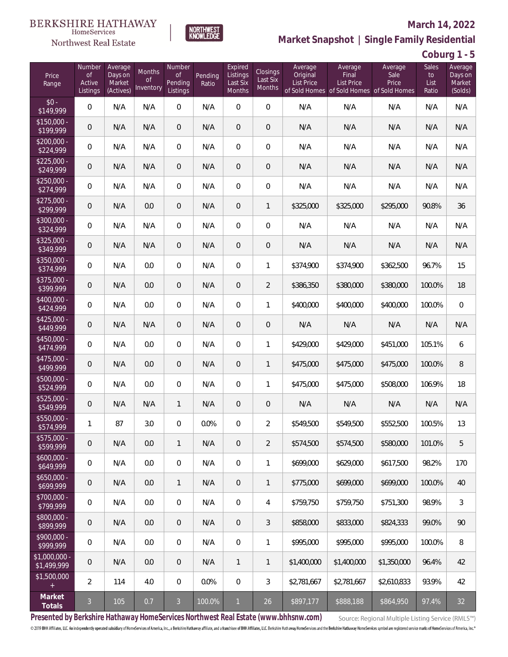# $\begin{matrix} \texttt{BERKSHIRE\ HATHAWAY}\footnotesize\texttt{Hom}\texttt{S} \texttt{e} \texttt{V} \texttt{R} \texttt{G} \texttt{P} \texttt{G} \texttt{P} \texttt{G} \texttt{P} \texttt{G} \texttt{P} \texttt{G} \texttt{P} \texttt{G} \texttt{P} \texttt{G} \texttt{P} \texttt{G} \texttt{P} \texttt{G} \texttt{P} \texttt{G} \texttt{P} \texttt{G} \texttt{P} \texttt{G} \texttt{P} \texttt{G} \texttt{P} \texttt{G} \texttt{P} \$



### **March 14, 2022**

**Market Snapshot | Single Family Residential**

**Coburg 1 - 5**

| Price<br>Range               | Number<br><b>of</b><br>Active<br>Listings | Average<br>Days on<br>Market<br>(Actives) | Months<br><b>of</b><br>Inventory | Number<br><b>of</b><br>Pending<br>Listings | Pending<br>Ratio | Expired<br>Listings<br>Last Six<br>Months | Closings<br>Last Six<br>Months | Average<br>Original<br><b>List Price</b> | Average<br>Final<br>List Price<br>of Sold Homes of Sold Homes of Sold Homes | Average<br>Sale<br>Price | Sales<br>to<br>List<br>Ratio | Average<br>Days on<br>Market<br>(Solds) |
|------------------------------|-------------------------------------------|-------------------------------------------|----------------------------------|--------------------------------------------|------------------|-------------------------------------------|--------------------------------|------------------------------------------|-----------------------------------------------------------------------------|--------------------------|------------------------------|-----------------------------------------|
| $$0 -$<br>\$149,999          | $\mathbf{0}$                              | N/A                                       | N/A                              | $\overline{0}$                             | N/A              | $\overline{0}$                            | $\overline{0}$                 | N/A                                      | N/A                                                                         | N/A                      | N/A                          | N/A                                     |
| $$150,000 -$<br>\$199,999    | $\mathbf 0$                               | N/A                                       | N/A                              | $\overline{0}$                             | N/A              | $\overline{0}$                            | $\mathbf 0$                    | N/A                                      | N/A                                                                         | N/A                      | N/A                          | N/A                                     |
| \$200,000 -<br>\$224,999     | 0                                         | N/A                                       | N/A                              | $\overline{0}$                             | N/A              | $\overline{0}$                            | 0                              | N/A                                      | N/A                                                                         | N/A                      | N/A                          | N/A                                     |
| $$225,000 -$<br>\$249,999    | $\mathbf 0$                               | N/A                                       | N/A                              | $\overline{0}$                             | N/A              | $\overline{0}$                            | $\mathbf 0$                    | N/A                                      | N/A                                                                         | N/A                      | N/A                          | N/A                                     |
| \$250,000 -<br>\$274,999     | $\overline{0}$                            | N/A                                       | N/A                              | $\overline{0}$                             | N/A              | $\overline{0}$                            | $\boldsymbol{0}$               | N/A                                      | N/A                                                                         | N/A                      | N/A                          | N/A                                     |
| $$275,000 -$<br>\$299,999    | $\mathbf 0$                               | N/A                                       | 0.0                              | $\overline{0}$                             | N/A              | $\overline{0}$                            | $\mathbf{1}$                   | \$325,000                                | \$325,000                                                                   | \$295,000                | 90.8%                        | 36                                      |
| \$300,000 -<br>\$324,999     | $\overline{0}$                            | N/A                                       | N/A                              | $\overline{0}$                             | N/A              | $\overline{0}$                            | $\overline{0}$                 | N/A                                      | N/A                                                                         | N/A                      | N/A                          | N/A                                     |
| \$325,000 -<br>\$349,999     | $\mathbf 0$                               | N/A                                       | N/A                              | $\overline{0}$                             | N/A              | 0                                         | $\mathbf 0$                    | N/A                                      | N/A                                                                         | N/A                      | N/A                          | N/A                                     |
| \$350,000 -<br>\$374,999     | $\overline{0}$                            | N/A                                       | 0.0                              | $\overline{0}$                             | N/A              | $\overline{0}$                            | $\mathbf{1}$                   | \$374,900                                | \$374,900                                                                   | \$362,500                | 96.7%                        | 15                                      |
| \$375,000 -<br>\$399,999     | $\mathbf 0$                               | N/A                                       | 0.0                              | $\overline{0}$                             | N/A              | 0                                         | $\overline{2}$                 | \$386,350                                | \$380,000                                                                   | \$380,000                | 100.0%                       | 18                                      |
| $$400,000 -$<br>\$424,999    | $\overline{0}$                            | N/A                                       | 0.0                              | $\overline{0}$                             | N/A              | $\overline{0}$                            | $\mathbf{1}$                   | \$400.000                                | \$400,000                                                                   | \$400,000                | 100.0%                       | $\overline{0}$                          |
| $$425,000 -$<br>\$449,999    | $\mathbf 0$                               | N/A                                       | N/A                              | $\overline{0}$                             | N/A              | $\overline{0}$                            | $\mathbf 0$                    | N/A                                      | N/A                                                                         | N/A                      | N/A                          | N/A                                     |
| \$450,000 -<br>\$474,999     | $\overline{0}$                            | N/A                                       | 0.0                              | $\overline{0}$                             | N/A              | $\overline{0}$                            | 1                              | \$429,000                                | \$429,000                                                                   | \$451,000                | 105.1%                       | 6                                       |
| \$475,000 -<br>\$499,999     | $\mathbf 0$                               | N/A                                       | 0.0                              | $\overline{0}$                             | N/A              | $\overline{0}$                            | $\mathbf{1}$                   | \$475,000                                | \$475,000                                                                   | \$475,000                | 100.0%                       | 8                                       |
| \$500,000 -<br>\$524,999     | $\mathbf{0}$                              | N/A                                       | 0.0                              | $\overline{0}$                             | N/A              | $\overline{0}$                            | $\mathbf{1}$                   | \$475,000                                | \$475,000                                                                   | \$508,000                | 106.9%                       | 18                                      |
| \$525,000 -<br>\$549,999     | $\mathbf 0$                               | N/A                                       | N/A                              | $\mathbf{1}$                               | N/A              | $\overline{0}$                            | $\mathbf 0$                    | N/A                                      | N/A                                                                         | N/A                      | N/A                          | N/A                                     |
| \$550,000 -<br>\$574,999     | 1                                         | 87                                        | 3.0                              | 0                                          | 0.0%             | 0                                         | $\overline{2}$                 | \$549,500                                | \$549,500                                                                   | \$552,500                | 100.5%                       | 13                                      |
| \$575,000 -<br>\$599,999     | $\mathbf 0$                               | N/A                                       | 0.0                              | $\mathbf{1}$                               | N/A              | $\overline{0}$                            | $\overline{2}$                 | \$574,500                                | \$574,500                                                                   | \$580,000                | 101.0%                       | 5                                       |
| $$600,000 -$<br>\$649,999    | $\mathbf 0$                               | N/A                                       | 0.0                              | $\mathbf 0$                                | N/A              | $\mathbb O$                               | 1                              | \$699,000                                | \$629,000                                                                   | \$617,500                | 98.2%                        | 170                                     |
| $$650,000 -$<br>\$699,999    | $\mathbf 0$                               | N/A                                       | 0.0                              | $\mathbf{1}$                               | N/A              | $\overline{0}$                            | 1                              | \$775,000                                | \$699,000                                                                   | \$699,000                | 100.0%                       | 40                                      |
| \$700,000 -<br>\$799,999     | $\,0\,$                                   | N/A                                       | 0.0                              | $\mathbf 0$                                | N/A              | $\mathbb O$                               | 4                              | \$759,750                                | \$759,750                                                                   | \$751,300                | 98.9%                        | 3                                       |
| \$800,000 -<br>\$899,999     | $\boldsymbol{0}$                          | N/A                                       | 0.0                              | $\mathbf 0$                                | N/A              | $\mathbf 0$                               | 3                              | \$858,000                                | \$833,000                                                                   | \$824,333                | 99.0%                        | 90                                      |
| \$900,000 -<br>\$999,999     | $\mathbf 0$                               | N/A                                       | 0.0                              | $\mathbf 0$                                | N/A              | $\mathbb O$                               | 1                              | \$995,000                                | \$995,000                                                                   | \$995,000                | 100.0%                       | 8                                       |
| \$1,000,000 -<br>\$1,499,999 | $\mathbf 0$                               | N/A                                       | 0.0                              | $\overline{0}$                             | N/A              | 1                                         | $\mathbf{1}$                   | \$1,400,000                              | \$1,400,000                                                                 | \$1,350,000              | 96.4%                        | 42                                      |
| \$1,500,000<br>$^{+}$        | $\overline{2}$                            | 114                                       | 4.0                              | $\mathbf 0$                                | 0.0%             | $\mathbb O$                               | 3                              | \$2,781,667                              | \$2,781,667                                                                 | \$2,610,833              | 93.9%                        | 42                                      |
| Market<br>Totals             | $\mathfrak{Z}$                            | 105                                       | 0.7                              | $\mathfrak{Z}$                             | 100.0%           | $\mathbf{1}$                              | 26                             | \$897,177                                | \$888,188                                                                   | \$864,950                | 97.4%                        | 32                                      |

NORTHWEST<br>KNOWLFDGF

**Presented by Berkshire Hathaway HomeServices Northwest Real Estate (www.bhhsnw.com)**

Source: Regional Multiple Listing Service (RMLS™)